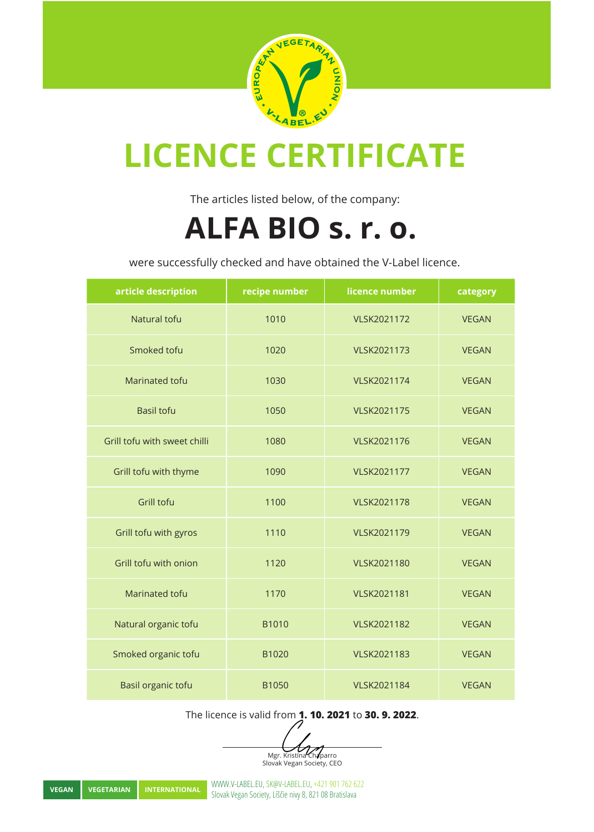

The articles listed below, of the company:

#### **ALFA BIO s. r. o.**

were successfully checked and have obtained the V-Label licence.

| article description          | recipe number | licence number     | category     |
|------------------------------|---------------|--------------------|--------------|
| Natural tofu                 | 1010          | VLSK2021172        | <b>VEGAN</b> |
| Smoked tofu                  | 1020          | VLSK2021173        | <b>VEGAN</b> |
| Marinated tofu               | 1030          | <b>VLSK2021174</b> | <b>VEGAN</b> |
| <b>Basil tofu</b>            | 1050          | <b>VLSK2021175</b> | <b>VEGAN</b> |
| Grill tofu with sweet chilli | 1080          | VLSK2021176        | <b>VEGAN</b> |
| Grill tofu with thyme        | 1090          | VLSK2021177        | <b>VEGAN</b> |
| Grill tofu                   | 1100          | <b>VLSK2021178</b> | <b>VEGAN</b> |
| Grill tofu with gyros        | 1110          | <b>VLSK2021179</b> | <b>VEGAN</b> |
| Grill tofu with onion        | 1120          | <b>VLSK2021180</b> | <b>VEGAN</b> |
| Marinated tofu               | 1170          | VLSK2021181        | <b>VEGAN</b> |
| Natural organic tofu         | B1010         | VLSK2021182        | <b>VEGAN</b> |
| Smoked organic tofu          | B1020         | VLSK2021183        | <b>VEGAN</b> |
| Basil organic tofu           | B1050         | <b>VLSK2021184</b> | <b>VEGAN</b> |

The licence is valid from **1. 10. 2021** to **30. 9. 2022**.

Mgr. Kristína Chaparro Slovak Vegan Society, CEO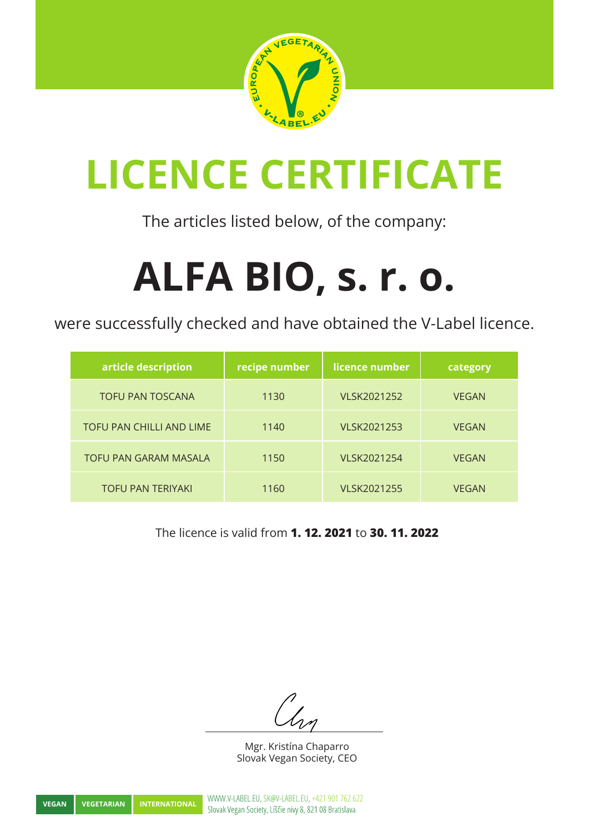

The articles listed below, of the company:

# **ALFA BIO, s. r. o.**

were successfully checked and have obtained the V-Label licence.

| article description          | recipe number | licence number | category     |
|------------------------------|---------------|----------------|--------------|
| <b>TOFU PAN TOSCANA</b>      | 1130          | VLSK2021252    | <b>VEGAN</b> |
| TOFU PAN CHILLI AND LIME     | 1140          | VLSK2021253    | <b>VEGAN</b> |
| <b>TOFU PAN GARAM MASALA</b> | 1150          | VLSK2021254    | <b>VEGAN</b> |
| <b>TOFU PAN TERIYAKI</b>     | 1160          | VLSK2021255    | <b>VFGAN</b> |

The licence is valid from **1. 12. 2021** to **30. 11. 2022**

Mgr. Kristína Chaparro Slovak Vegan Society, CEO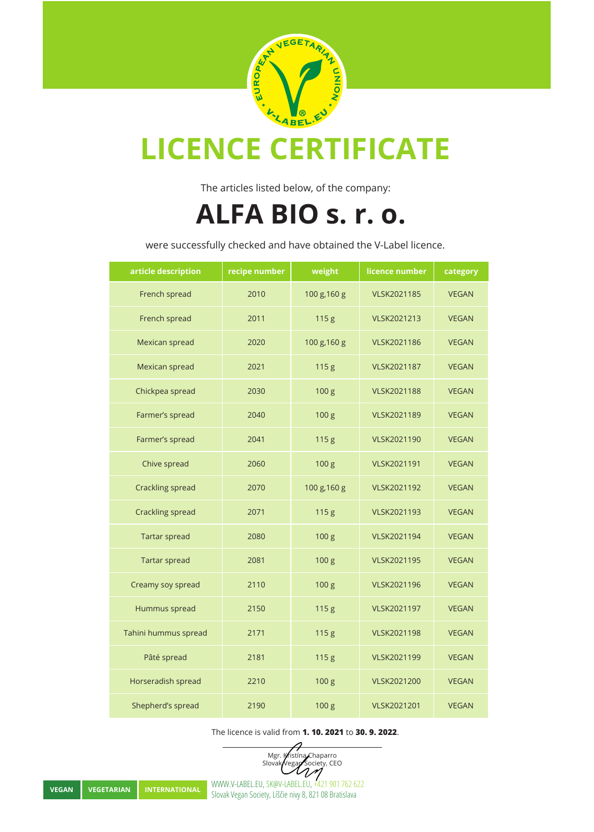

The articles listed below, of the company:

#### **ALFA BIO s. r. o.**

were successfully checked and have obtained the V-Label licence.

| article description  | recipe number | weight           | licence number     | category     |
|----------------------|---------------|------------------|--------------------|--------------|
| French spread        | 2010          | 100 g, 160 g     | <b>VLSK2021185</b> | <b>VEGAN</b> |
| French spread        | 2011          | 115g             | VLSK2021213        | <b>VEGAN</b> |
| Mexican spread       | 2020          | 100 g, 160 g     | VLSK2021186        | <b>VEGAN</b> |
| Mexican spread       | 2021          | 115g             | VLSK2021187        | <b>VEGAN</b> |
| Chickpea spread      | 2030          | 100 <sub>g</sub> | <b>VLSK2021188</b> | <b>VEGAN</b> |
| Farmer's spread      | 2040          | 100 g            | VLSK2021189        | <b>VEGAN</b> |
| Farmer's spread      | 2041          | 115g             | VLSK2021190        | <b>VEGAN</b> |
| Chive spread         | 2060          | 100 g            | VLSK2021191        | <b>VEGAN</b> |
| Crackling spread     | 2070          | 100 g, 160 g     | VLSK2021192        | <b>VEGAN</b> |
| Crackling spread     | 2071          | 115 <sub>g</sub> | VLSK2021193        | <b>VEGAN</b> |
| <b>Tartar spread</b> | 2080          | 100 <sub>g</sub> | VLSK2021194        | <b>VEGAN</b> |
| <b>Tartar spread</b> | 2081          | 100 <sub>g</sub> | VLSK2021195        | <b>VEGAN</b> |
| Creamy soy spread    | 2110          | 100 <sub>g</sub> | VLSK2021196        | <b>VEGAN</b> |
| Hummus spread        | 2150          | 115 g            | VLSK2021197        | <b>VEGAN</b> |
| Tahini hummus spread | 2171          | 115 g            | VLSK2021198        | <b>VEGAN</b> |
| Pâté spread          | 2181          | 115 g            | VLSK2021199        | <b>VEGAN</b> |
| Horseradish spread   | 2210          | 100 g            | VLSK2021200        | <b>VEGAN</b> |
| Shepherd's spread    | 2190          | 100 g            | VLSK2021201        | <b>VEGAN</b> |

The licence is valid from **1. 10. 2021** to **30. 9. 2022**.

Mgr. Kristína Chaparro Slovak Vegan Society, CEO

**VEGAN VEGETARIAN INTERNATIONAL** WWW.V-LABEL.EU, SK@V-LABEL.EU, +421 901 762 622<br>Slovak Vegan Society, Líščie nivy 8, 821 08 Bratislava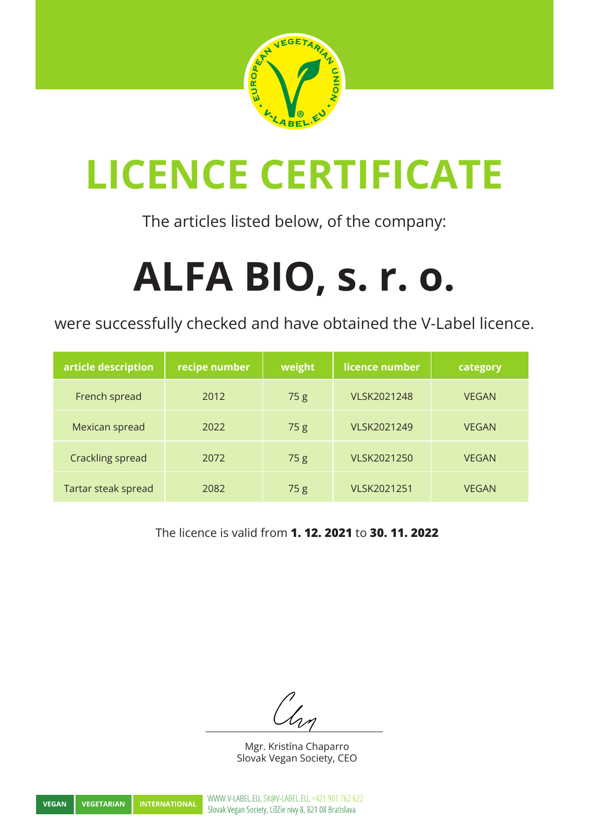

The articles listed below, of the company:

# **ALFA BIO, s. r. o.**

were successfully checked and have obtained the V-Label licence.

| article description | recipe number | weight | licence number | category     |
|---------------------|---------------|--------|----------------|--------------|
| French spread       | 2012          | 75g    | VLSK2021248    | <b>VEGAN</b> |
| Mexican spread      | 2022          | 75g    | VLSK2021249    | <b>VEGAN</b> |
| Crackling spread    | 2072          | 75g    | VLSK2021250    | <b>VEGAN</b> |
| Tartar steak spread | 2082          | 75g    | VLSK2021251    | <b>VEGAN</b> |

The licence is valid from **1. 12. 2021** to **30. 11. 2022**

Mgr. Kristína Chaparro Slovak Vegan Society, CEO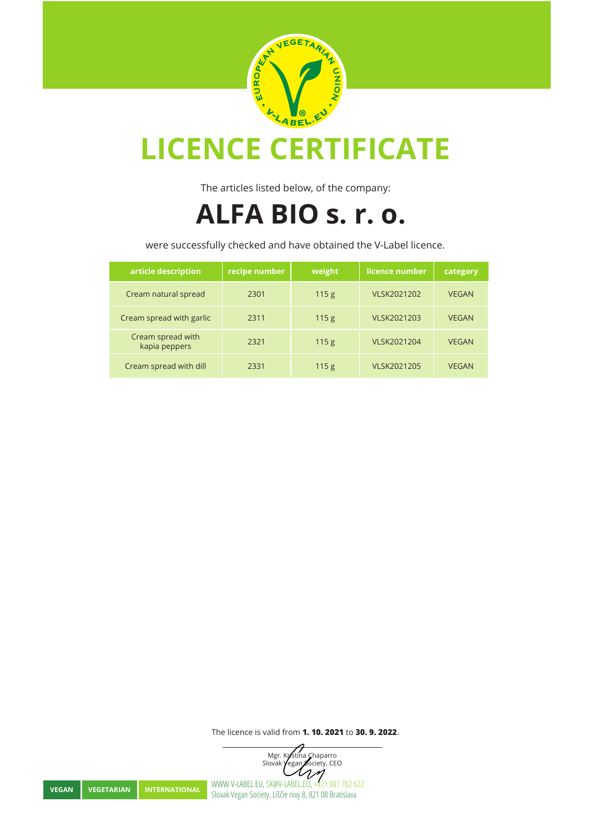

The articles listed below, of the company:

#### **ALFA BIO s. r. o.**

were successfully checked and have obtained the V-Label licence.

| article description                | recipe number | weight           | licence number     | category     |
|------------------------------------|---------------|------------------|--------------------|--------------|
| Cream natural spread               | 2301          | 115 <sub>g</sub> | <b>VLSK2021202</b> | <b>VEGAN</b> |
| Cream spread with garlic           | 2311          | 115 <sub>g</sub> | <b>VLSK2021203</b> | <b>VEGAN</b> |
| Cream spread with<br>kapia peppers | 2321          | 115 <sub>g</sub> | <b>VLSK2021204</b> | <b>VEGAN</b> |
| Cream spread with dill             | 2331          | 115 <sub>g</sub> | <b>VLSK2021205</b> | <b>VEGAN</b> |

The licence is valid from **1. 10. 2021** to **30. 9. 2022**.

Mgr. Kristína Chaparro Slovak **Vegan Society**, CEO  $\mathcal{U}$ **VEGAN VEGETARIAN INTERNATIONAL** WWW.V-LABEL.EU, SK@V-LABEL.EU, +421 901 762 622<br>Slovak Vegan Society, Líščie nivy 8, 821 08 Bratislava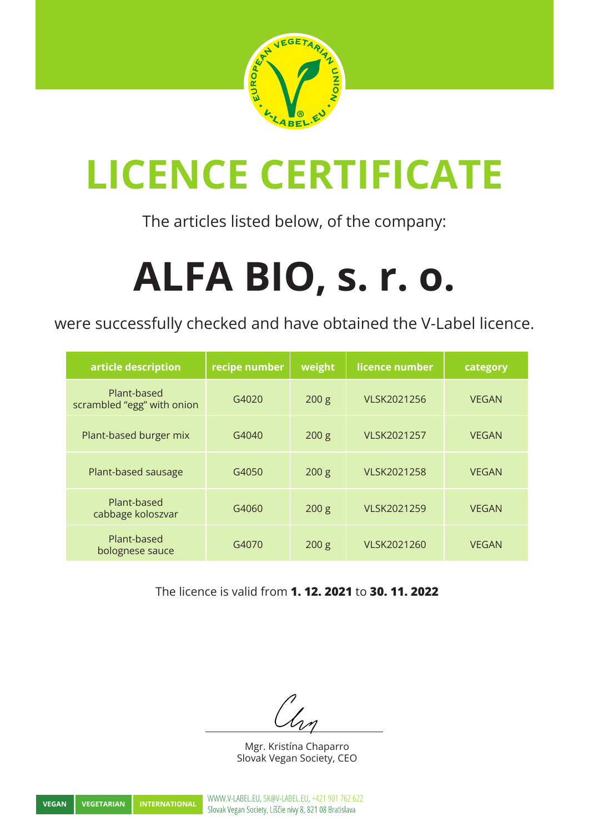

The articles listed below, of the company:

# **ALFA BIO, s. r. o.**

were successfully checked and have obtained the V-Label licence.

| article description                       | recipe number | weight           | licence number     | category     |
|-------------------------------------------|---------------|------------------|--------------------|--------------|
| Plant-based<br>scrambled "egg" with onion | G4020         | 200 g            | VLSK2021256        | <b>VEGAN</b> |
| Plant-based burger mix                    | G4040         | 200 g            | VLSK2021257        | <b>VEGAN</b> |
| Plant-based sausage                       | G4050         | 200 <sub>g</sub> | VLSK2021258        | <b>VEGAN</b> |
| Plant-based<br>cabbage koloszvar          | G4060         | 200 g            | <b>VLSK2021259</b> | <b>VEGAN</b> |
| Plant-based<br>bolognese sauce            | G4070         | 200 <sub>g</sub> | VLSK2021260        | <b>VEGAN</b> |

The licence is valid from **1. 12. 2021** to **30. 11. 2022**

Mgr. Kristína Chaparro Slovak Vegan Society, CEO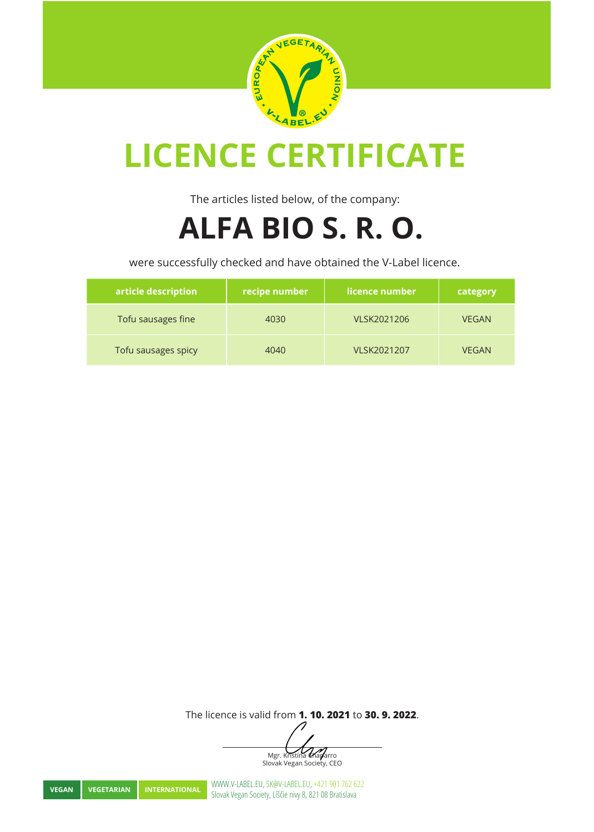

The articles listed below, of the company:

#### **ALFA BIO S. R. O.**

were successfully checked and have obtained the V-Label licence.

| article description | recipe number | licence number | category     |
|---------------------|---------------|----------------|--------------|
| Tofu sausages fine  | 4030          | VLSK2021206    | <b>VEGAN</b> |
| Tofu sausages spicy | 4040          | VLSK2021207    | <b>VEGAN</b> |

The licence is valid from **1. 10. 2021** to **30. 9. 2022**.

Mgr. Kristína Chaparro Slovak Vegan Society, CEO

**VEGAN VEGETARIAN INTERNATIONAL** WWW.V-LABEL.EU, SK@V-LABEL.EU, +421 901 762 622<br>Slovak Vegan Society, Líščie nivy 8, 821 08 Bratislava